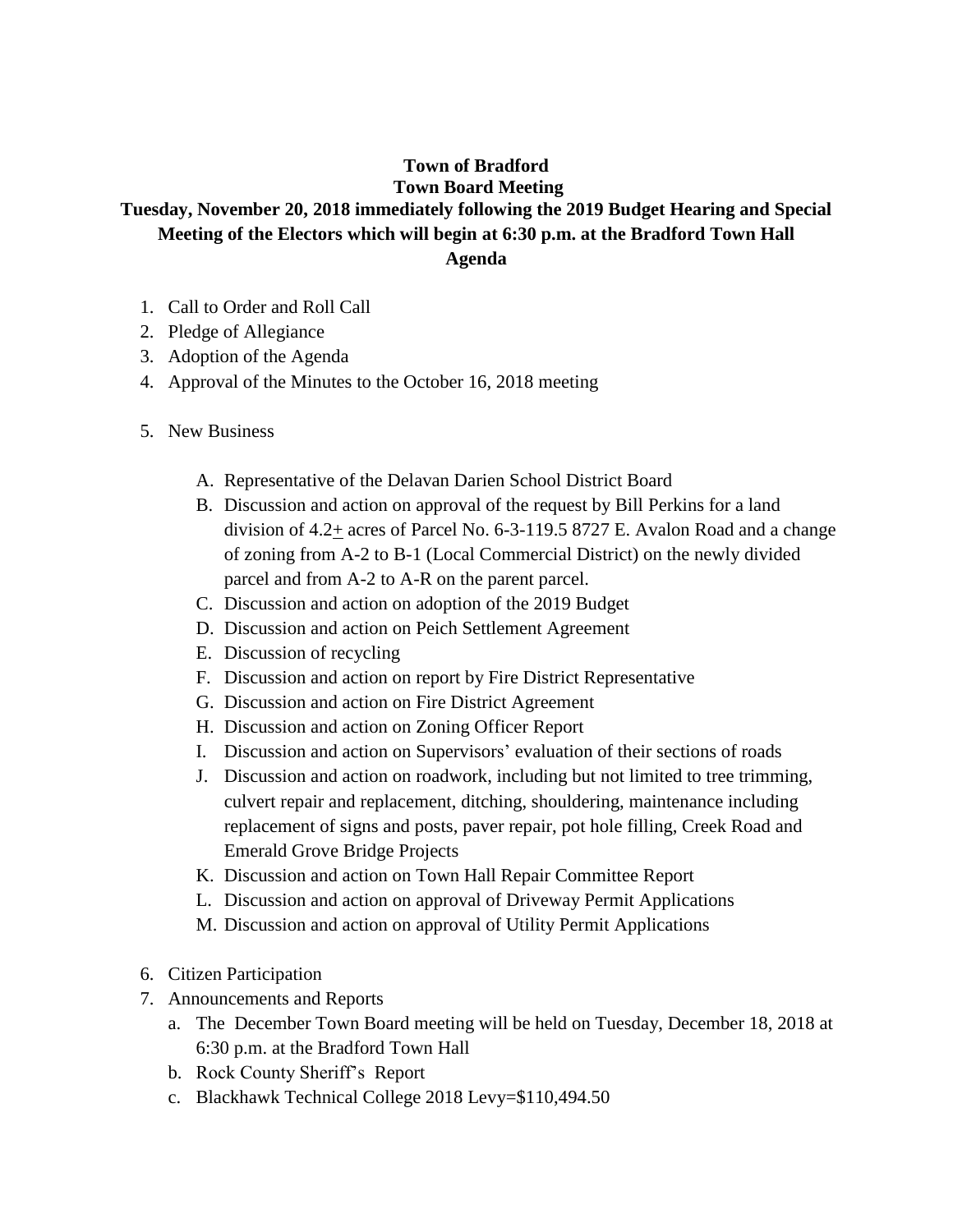## **Town of Bradford Town Board Meeting**

## **Tuesday, November 20, 2018 immediately following the 2019 Budget Hearing and Special Meeting of the Electors which will begin at 6:30 p.m. at the Bradford Town Hall Agenda**

- 1. Call to Order and Roll Call
- 2. Pledge of Allegiance
- 3. Adoption of the Agenda
- 4. Approval of the Minutes to the October 16, 2018 meeting
- 5. New Business
	- A. Representative of the Delavan Darien School District Board
	- B. Discussion and action on approval of the request by Bill Perkins for a land division of  $4.2<sub>±</sub>$  acres of Parcel No. 6-3-119.5 8727 E. Avalon Road and a change of zoning from A-2 to B-1 (Local Commercial District) on the newly divided parcel and from A-2 to A-R on the parent parcel.
	- C. Discussion and action on adoption of the 2019 Budget
	- D. Discussion and action on Peich Settlement Agreement
	- E. Discussion of recycling
	- F. Discussion and action on report by Fire District Representative
	- G. Discussion and action on Fire District Agreement
	- H. Discussion and action on Zoning Officer Report
	- I. Discussion and action on Supervisors' evaluation of their sections of roads
	- J. Discussion and action on roadwork, including but not limited to tree trimming, culvert repair and replacement, ditching, shouldering, maintenance including replacement of signs and posts, paver repair, pot hole filling, Creek Road and Emerald Grove Bridge Projects
	- K. Discussion and action on Town Hall Repair Committee Report
	- L. Discussion and action on approval of Driveway Permit Applications
	- M. Discussion and action on approval of Utility Permit Applications
- 6. Citizen Participation
- 7. Announcements and Reports
	- a. The December Town Board meeting will be held on Tuesday, December 18, 2018 at 6:30 p.m. at the Bradford Town Hall
	- b. Rock County Sheriff's Report
	- c. Blackhawk Technical College 2018 Levy=\$110,494.50